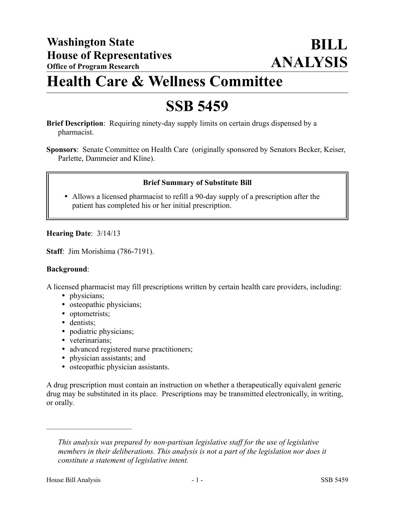# **Health Care & Wellness Committee**

## **SSB 5459**

**Brief Description**: Requiring ninety-day supply limits on certain drugs dispensed by a pharmacist.

**Sponsors**: Senate Committee on Health Care (originally sponsored by Senators Becker, Keiser, Parlette, Dammeier and Kline).

## **Brief Summary of Substitute Bill**

 Allows a licensed pharmacist to refill a 90-day supply of a prescription after the patient has completed his or her initial prescription.

### **Hearing Date**: 3/14/13

**Staff**: Jim Morishima (786-7191).

#### **Background**:

A licensed pharmacist may fill prescriptions written by certain health care providers, including:

- physicians;
- osteopathic physicians;
- optometrists;
- dentists;
- podiatric physicians;
- veterinarians;

––––––––––––––––––––––

- advanced registered nurse practitioners;
- physician assistants; and
- osteopathic physician assistants.

A drug prescription must contain an instruction on whether a therapeutically equivalent generic drug may be substituted in its place. Prescriptions may be transmitted electronically, in writing, or orally.

*This analysis was prepared by non-partisan legislative staff for the use of legislative members in their deliberations. This analysis is not a part of the legislation nor does it constitute a statement of legislative intent.*